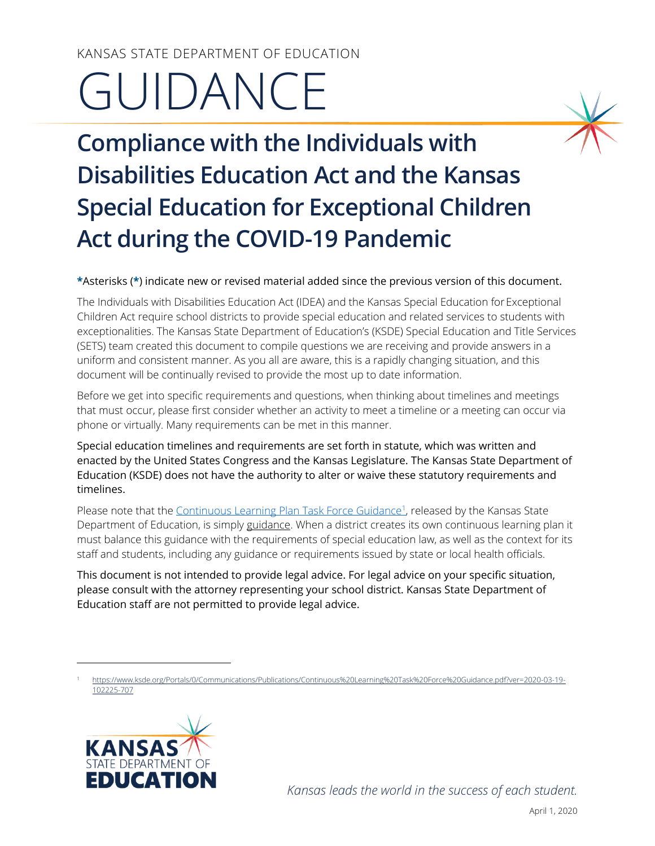# KANSAS STATE DEPARTMENT OF EDUCATION GUIDANCE

**Compliance with the Individuals with Disabilities Education Act and the Kansas Special Education for Exceptional Children Act during the COVID-19 Pandemic**

#### **\***Asterisks (**\***) indicate new or revised material added since the previous version of this document.

The Individuals with Disabilities Education Act (IDEA) and the Kansas Special Education forExceptional Children Act require school districts to provide special education and related services to students with exceptionalities. The Kansas State Department of Education's (KSDE) Special Education and Title Services (SETS) team created this document to compile questions we are receiving and provide answers in a uniform and consistent manner. As you all are aware, this is a rapidly changing situation, and this document will be continually revised to provide the most up to date information.

Before we get into specific requirements and questions, when thinking about timelines and meetings that must occur, please first consider whether an activity to meet a timeline or a meeting can occur via phone or virtually. Many requirements can be met in this manner.

Special education timelines and requirements are set forth in statute, which was written and enacted by the United States Congress and the Kansas Legislature. The Kansas State Department of Education (KSDE) does not have the authority to alter or waive these statutory requirements and timelines.

Please note that th[e Continuous Learning Plan](https://www.ksde.org/Portals/0/Communications/Publications/Continuous%20Learning%20Task%20Force%20Guidance.pdf?ver=2020-03-19-102225-707) Task Force Guidance<sup>1</sup>, released by the Kansas State Department of Education, is simply guidance. When a district creates its own continuous learning plan it must balance this guidance with the requirements of special education law, as well as the context for its staff and students, including any guidance or requirements issued by state or local health officials.

This document is not intended to provide legal advice. For legal advice on your specific situation, please consult with the attorney representing your school district. Kansas State Department of Education staff are not permitted to provide legal advice.

<sup>1</sup> [https://www.ksde.org/Portals/0/Communications/Publications/Continuous%20Learning%20Task%20Force%20Guidance.pdf?ver=2020-03-19-](https://www.ksde.org/Portals/0/Communications/Publications/Continuous%20Learning%20Task%20Force%20Guidance.pdf?ver=2020-03-19-102225-707) [102225-707](https://www.ksde.org/Portals/0/Communications/Publications/Continuous%20Learning%20Task%20Force%20Guidance.pdf?ver=2020-03-19-102225-707)



l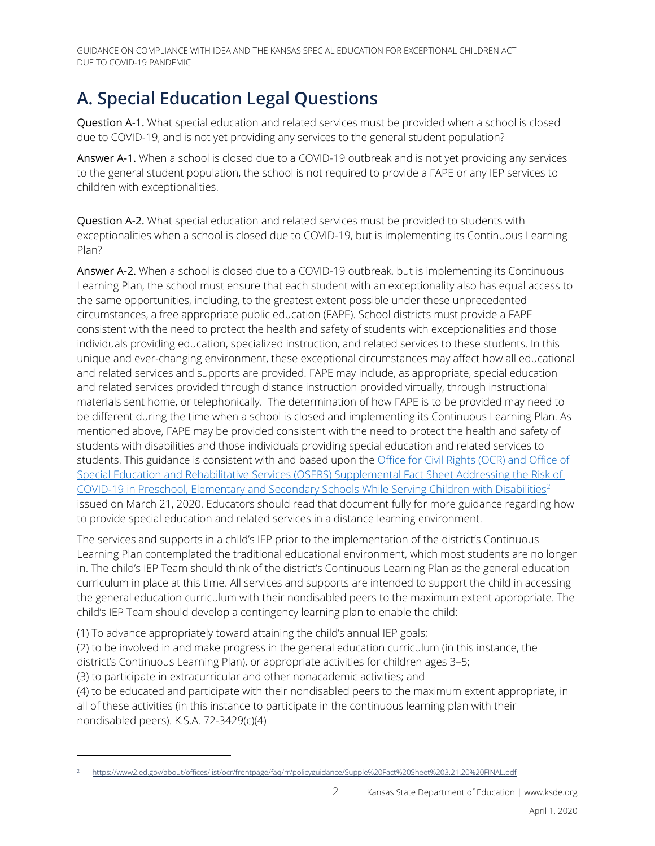### **A. Special Education Legal Questions**

<span id="page-1-0"></span>Question A-1. What special education and related services must be provided when a school is closed due to COVID-19, and is not yet providing any services to the general student population?

Answer A-1. When a school is closed due to a COVID-19 outbreak and is not yet providing any services to the general student population, the school is not required to provide a FAPE or any IEP services to children with exceptionalities.

<span id="page-1-1"></span>Question A-2. What special education and related services must be provided to students with exceptionalities when a school is closed due to COVID-19, but is implementing its Continuous Learning Plan?

Answer A-2. When a school is closed due to a COVID-19 outbreak, but is implementing its Continuous Learning Plan, the school must ensure that each student with an exceptionality also has equal access to the same opportunities, including, to the greatest extent possible under these unprecedented circumstances, a free appropriate public education (FAPE). School districts must provide a FAPE consistent with the need to protect the health and safety of students with exceptionalities and those individuals providing education, specialized instruction, and related services to these students. In this unique and ever-changing environment, these exceptional circumstances may affect how all educational and related services and supports are provided. FAPE may include, as appropriate, special education and related services provided through distance instruction provided virtually, through instructional materials sent home, or telephonically. The determination of how FAPE is to be provided may need to be different during the time when a school is closed and implementing its Continuous Learning Plan. As mentioned above, FAPE may be provided consistent with the need to protect the health and safety of students with disabilities and those individuals providing special education and related services to students. This guidance is consistent with and based upon the [Office for Civil Rights \(OCR\) and Office of](https://www2.ed.gov/about/offices/list/ocr/frontpage/faq/rr/policyguidance/Supple%20Fact%20Sheet%203.21.20%20FINAL.pdf)  [Special Education and Rehabilitative Services \(OSERS\) Supplemental Fact Sheet Addressing the Risk of](https://www2.ed.gov/about/offices/list/ocr/frontpage/faq/rr/policyguidance/Supple%20Fact%20Sheet%203.21.20%20FINAL.pdf)  [COVID-19 in Preschool, Elementary and Secondary Schools While](https://www2.ed.gov/about/offices/list/ocr/frontpage/faq/rr/policyguidance/Supple%20Fact%20Sheet%203.21.20%20FINAL.pdf) Serving Children with Disabilities<sup>2</sup> issued on March 21, 2020. Educators should read that document fully for more guidance regarding how to provide special education and related services in a distance learning environment.

The services and supports in a child's IEP prior to the implementation of the district's Continuous Learning Plan contemplated the traditional educational environment, which most students are no longer in. The child's IEP Team should think of the district's Continuous Learning Plan as the general education curriculum in place at this time. All services and supports are intended to support the child in accessing the general education curriculum with their nondisabled peers to the maximum extent appropriate. The child's IEP Team should develop a contingency learning plan to enable the child:

(1) To advance appropriately toward attaining the child's annual IEP goals;

(2) to be involved in and make progress in the general education curriculum (in this instance, the district's Continuous Learning Plan), or appropriate activities for children ages 3–5;

(3) to participate in extracurricular and other nonacademic activities; and

l

(4) to be educated and participate with their nondisabled peers to the maximum extent appropriate, in all of these activities (in this instance to participate in the continuous learning plan with their nondisabled peers). K.S.A. 72-3429(c)(4)

<sup>2</sup> <https://www2.ed.gov/about/offices/list/ocr/frontpage/faq/rr/policyguidance/Supple%20Fact%20Sheet%203.21.20%20FINAL.pdf>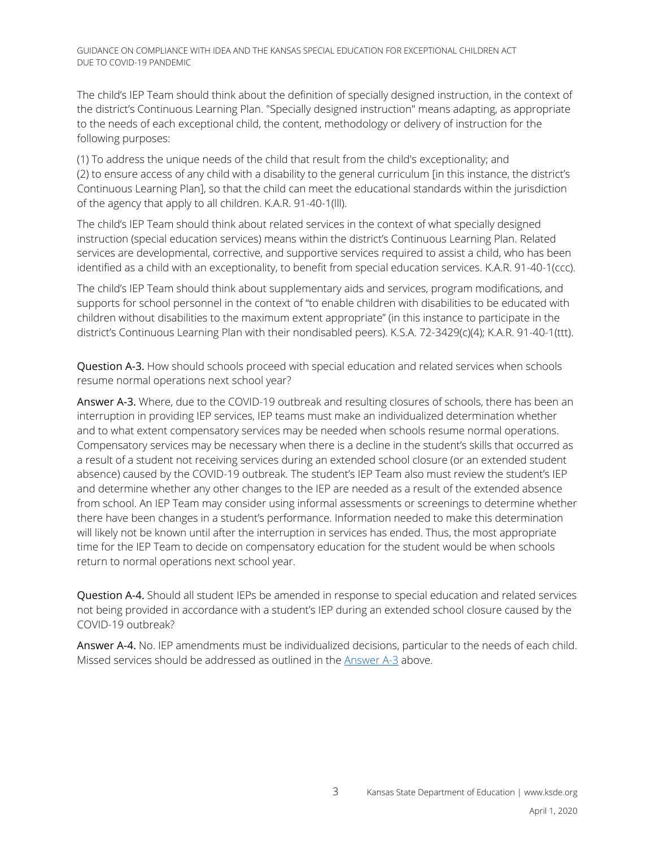The child's IEP Team should think about the definition of specially designed instruction, in the context of the district's Continuous Learning Plan. "Specially designed instruction" means adapting, as appropriate to the needs of each exceptional child, the content, methodology or delivery of instruction for the following purposes:

(1) To address the unique needs of the child that result from the child's exceptionality; and (2) to ensure access of any child with a disability to the general curriculum [in this instance, the district's Continuous Learning Plan], so that the child can meet the educational standards within the jurisdiction of the agency that apply to all children. K.A.R. 91-40-1(lll).

The child's IEP Team should think about related services in the context of what specially designed instruction (special education services) means within the district's Continuous Learning Plan. Related services are developmental, corrective, and supportive services required to assist a child, who has been identified as a child with an exceptionality, to benefit from special education services. K.A.R. 91-40-1(ccc).

The child's IEP Team should think about supplementary aids and services, program modifications, and supports for school personnel in the context of "to enable children with disabilities to be educated with children without disabilities to the maximum extent appropriate" (in this instance to participate in the district's Continuous Learning Plan with their nondisabled peers). K.S.A. 72-3429(c)(4); K.A.R. 91-40-1(ttt).

<span id="page-2-0"></span>Question A-3. How should schools proceed with special education and related services when schools resume normal operations next school year?

Answer A-3. Where, due to the COVID-19 outbreak and resulting closures of schools, there has been an interruption in providing IEP services, IEP teams must make an individualized determination whether and to what extent compensatory services may be needed when schools resume normal operations. Compensatory services may be necessary when there is a decline in the student's skills that occurred as a result of a student not receiving services during an extended school closure (or an extended student absence) caused by the COVID-19 outbreak. The student's IEP Team also must review the student's IEP and determine whether any other changes to the IEP are needed as a result of the extended absence from school. An IEP Team may consider using informal assessments or screenings to determine whether there have been changes in a student's performance. Information needed to make this determination will likely not be known until after the interruption in services has ended. Thus, the most appropriate time for the IEP Team to decide on compensatory education for the student would be when schools return to normal operations next school year.

Question A-4. Should all student IEPs be amended in response to special education and related services not being provided in accordance with a student's IEP during an extended school closure caused by the COVID-19 outbreak?

Answer A-4. No. IEP amendments must be individualized decisions, particular to the needs of each child. Missed services should be addressed as outlined in the [Answer A-3](#page-2-0) above.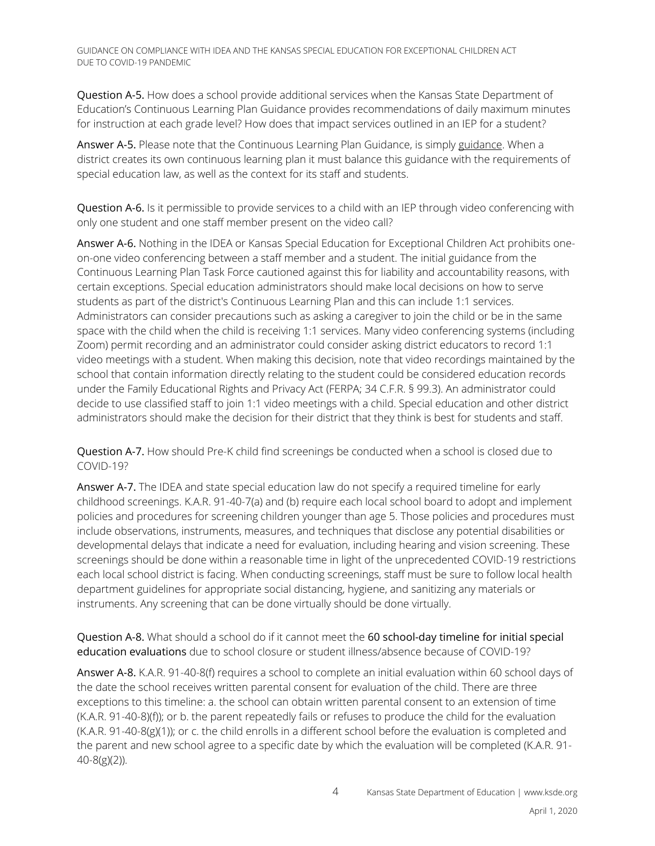Question A-5. How does a school provide additional services when the Kansas State Department of Education's Continuous Learning Plan Guidance provides recommendations of daily maximum minutes for instruction at each grade level? How does that impact services outlined in an IEP for a student?

Answer A-5. Please note that the Continuous Learning Plan Guidance, is simply guidance. When a district creates its own continuous learning plan it must balance this guidance with the requirements of special education law, as well as the context for its staff and students.

Question A-6. Is it permissible to provide services to a child with an IEP through video conferencing with only one student and one staff member present on the video call?

Answer A-6. Nothing in the IDEA or Kansas Special Education for Exceptional Children Act prohibits oneon-one video conferencing between a staff member and a student. The initial guidance from the Continuous Learning Plan Task Force cautioned against this for liability and accountability reasons, with certain exceptions. Special education administrators should make local decisions on how to serve students as part of the district's Continuous Learning Plan and this can include 1:1 services. Administrators can consider precautions such as asking a caregiver to join the child or be in the same space with the child when the child is receiving 1:1 services. Many video conferencing systems (including Zoom) permit recording and an administrator could consider asking district educators to record 1:1 video meetings with a student. When making this decision, note that video recordings maintained by the school that contain information directly relating to the student could be considered education records under the Family Educational Rights and Privacy Act (FERPA; 34 C.F.R. § 99.3). An administrator could decide to use classified staff to join 1:1 video meetings with a child. Special education and other district administrators should make the decision for their district that they think is best for students and staff.

Question A-7. How should Pre-K child find screenings be conducted when a school is closed due to COVID-19?

Answer A-7. The IDEA and state special education law do not specify a required timeline for early childhood screenings. K.A.R. 91-40-7(a) and (b) require each local school board to adopt and implement policies and procedures for screening children younger than age 5. Those policies and procedures must include observations, instruments, measures, and techniques that disclose any potential disabilities or developmental delays that indicate a need for evaluation, including hearing and vision screening. These screenings should be done within a reasonable time in light of the unprecedented COVID-19 restrictions each local school district is facing. When conducting screenings, staff must be sure to follow local health department guidelines for appropriate social distancing, hygiene, and sanitizing any materials or instruments. Any screening that can be done virtually should be done virtually.

Question A-8. What should a school do if it cannot meet the 60 school-day timeline for initial special education evaluations due to school closure or student illness/absence because of COVID-19?

Answer A-8. K.A.R. 91-40-8(f) requires a school to complete an initial evaluation within 60 school days of the date the school receives written parental consent for evaluation of the child. There are three exceptions to this timeline: a. the school can obtain written parental consent to an extension of time (K.A.R. 91-40-8)(f)); or b. the parent repeatedly fails or refuses to produce the child for the evaluation (K.A.R. 91-40-8(g)(1)); or c. the child enrolls in a different school before the evaluation is completed and the parent and new school agree to a specific date by which the evaluation will be completed (K.A.R. 91- 40-8(g)(2)).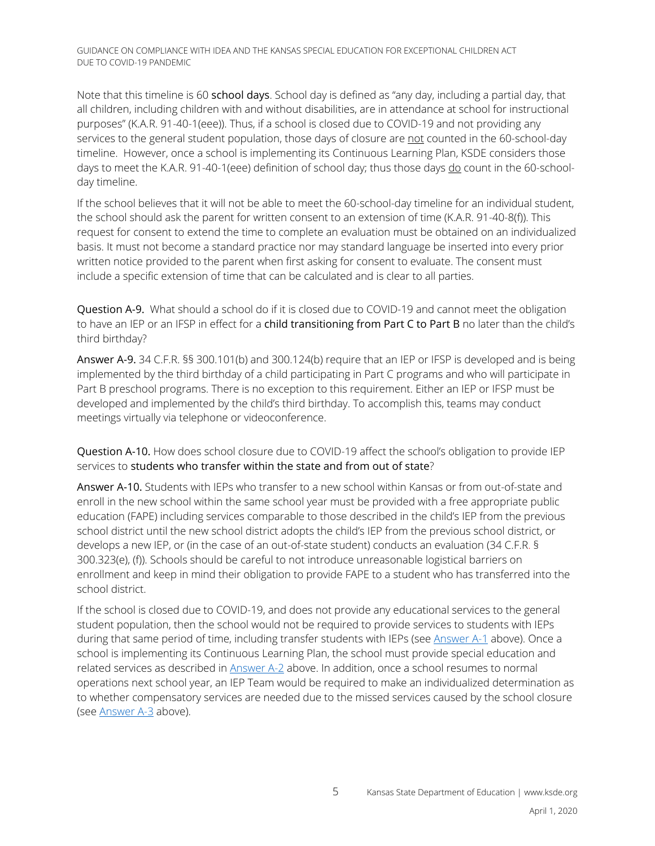Note that this timeline is 60 school days. School day is defined as "any day, including a partial day, that all children, including children with and without disabilities, are in attendance at school for instructional purposes" (K.A.R. 91-40-1(eee)). Thus, if a school is closed due to COVID-19 and not providing any services to the general student population, those days of closure are not counted in the 60-school-day timeline. However, once a school is implementing its Continuous Learning Plan, KSDE considers those days to meet the K.A.R. 91-40-1(eee) definition of school day; thus those days do count in the 60-schoolday timeline.

If the school believes that it will not be able to meet the 60-school-day timeline for an individual student, the school should ask the parent for written consent to an extension of time (K.A.R. 91-40-8(f)). This request for consent to extend the time to complete an evaluation must be obtained on an individualized basis. It must not become a standard practice nor may standard language be inserted into every prior written notice provided to the parent when first asking for consent to evaluate. The consent must include a specific extension of time that can be calculated and is clear to all parties.

Question A-9. What should a school do if it is closed due to COVID-19 and cannot meet the obligation to have an IEP or an IFSP in effect for a child transitioning from Part C to Part B no later than the child's third birthday?

Answer A-9. 34 C.F.R. §§ 300.101(b) and 300.124(b) require that an IEP or IFSP is developed and is being implemented by the third birthday of a child participating in Part C programs and who will participate in Part B preschool programs. There is no exception to this requirement. Either an IEP or IFSP must be developed and implemented by the child's third birthday. To accomplish this, teams may conduct meetings virtually via telephone or videoconference.

Question A-10. How does school closure due to COVID-19 affect the school's obligation to provide IEP services to students who transfer within the state and from out of state?

Answer A-10. Students with IEPs who transfer to a new school within Kansas or from out-of-state and enroll in the new school within the same school year must be provided with a free appropriate public education (FAPE) including services comparable to those described in the child's IEP from the previous school district until the new school district adopts the child's IEP from the previous school district, or develops a new IEP, or (in the case of an out-of-state student) conducts an evaluation (34 C.F.R. § 300.323(e), (f)). Schools should be careful to not introduce unreasonable logistical barriers on enrollment and keep in mind their obligation to provide FAPE to a student who has transferred into the school district.

If the school is closed due to COVID-19, and does not provide any educational services to the general student population, then the school would not be required to provide services to students with IEPs during that same period of time, including transfer students with IEPs (see Answer  $A-1$  above). Once a school is implementing its Continuous Learning Plan, the school must provide special education and related services as described in [Answer A-2](#page-1-1) above. In addition, once a school resumes to normal operations next school year, an IEP Team would be required to make an individualized determination as to whether compensatory services are needed due to the missed services caused by the school closure (see [Answer A-3](#page-2-0) above).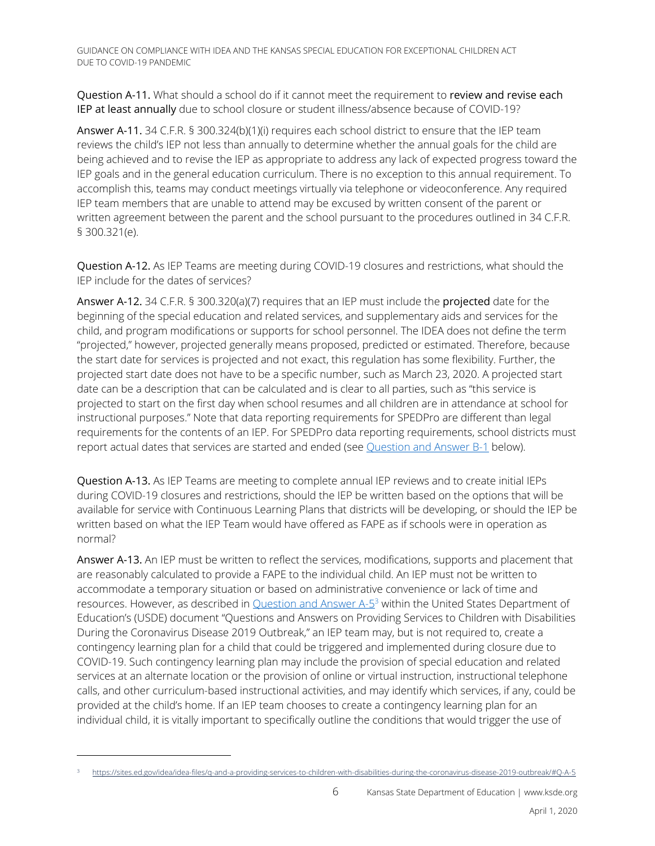Question A-11. What should a school do if it cannot meet the requirement to review and revise each IEP at least annually due to school closure or student illness/absence because of COVID-19?

Answer A-11. 34 C.F.R. § 300.324(b)(1)(i) requires each school district to ensure that the IEP team reviews the child's IEP not less than annually to determine whether the annual goals for the child are being achieved and to revise the IEP as appropriate to address any lack of expected progress toward the IEP goals and in the general education curriculum. There is no exception to this annual requirement. To accomplish this, teams may conduct meetings virtually via telephone or videoconference. Any required IEP team members that are unable to attend may be excused by written consent of the parent or written agreement between the parent and the school pursuant to the procedures outlined in 34 C.F.R. § 300.321(e).

Question A-12. As IEP Teams are meeting during COVID-19 closures and restrictions, what should the IEP include for the dates of services?

Answer A-12. 34 C.F.R. § 300.320(a)(7) requires that an IEP must include the projected date for the beginning of the special education and related services, and supplementary aids and services for the child, and program modifications or supports for school personnel. The IDEA does not define the term "projected," however, projected generally means proposed, predicted or estimated. Therefore, because the start date for services is projected and not exact, this regulation has some flexibility. Further, the projected start date does not have to be a specific number, such as March 23, 2020. A projected start date can be a description that can be calculated and is clear to all parties, such as "this service is projected to start on the first day when school resumes and all children are in attendance at school for instructional purposes." Note that data reporting requirements for SPEDPro are different than legal requirements for the contents of an IEP. For SPEDPro data reporting requirements, school districts must report actual dates that services are started and ended (se[e Question and Answer B-1](#page-11-0) below).

<span id="page-5-0"></span>Question A-13. As IEP Teams are meeting to complete annual IEP reviews and to create initial IEPs during COVID-19 closures and restrictions, should the IEP be written based on the options that will be available for service with Continuous Learning Plans that districts will be developing, or should the IEP be written based on what the IEP Team would have offered as FAPE as if schools were in operation as normal?

Answer A-13. An IEP must be written to reflect the services, modifications, supports and placement that are reasonably calculated to provide a FAPE to the individual child. An IEP must not be written to accommodate a temporary situation or based on administrative convenience or lack of time and resources. However, as described in [Question and Answer A-5](https://sites.ed.gov/idea/idea-files/q-and-a-providing-services-to-children-with-disabilities-during-the-coronavirus-disease-2019-outbreak/#Q-A-5)<sup>3</sup> within the United States Department of Education's (USDE) document "Questions and Answers on Providing Services to Children with Disabilities During the Coronavirus Disease 2019 Outbreak," an IEP team may, but is not required to, create a contingency learning plan for a child that could be triggered and implemented during closure due to COVID-19. Such contingency learning plan may include the provision of special education and related services at an alternate location or the provision of online or virtual instruction, instructional telephone calls, and other curriculum-based instructional activities, and may identify which services, if any, could be provided at the child's home. If an IEP team chooses to create a contingency learning plan for an individual child, it is vitally important to specifically outline the conditions that would trigger the use of

l

<sup>3</sup> [https://sites.ed.gov/idea/idea-files/q-and-a-providing-services-to-children-with-disabilities-during-the-coronavirus-disease-2019-outbreak/#Q-A-5](https://sites.ed.gov/idea/idea-files/q-and-a-providing-services-to-children-with-disabilities-during-the-coronavirus-disease-2019-outbreak/%23Q-A-5)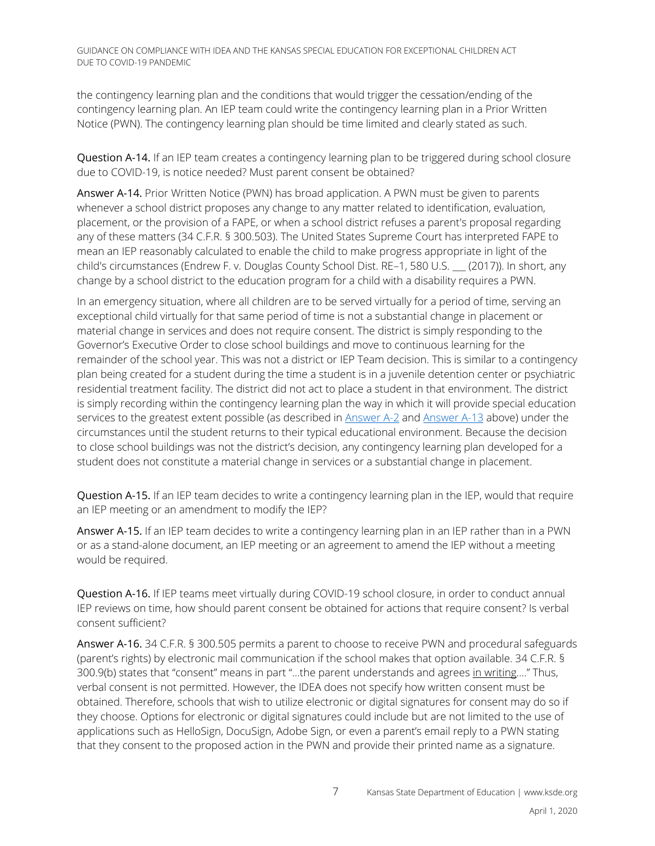the contingency learning plan and the conditions that would trigger the cessation/ending of the contingency learning plan. An IEP team could write the contingency learning plan in a Prior Written Notice (PWN). The contingency learning plan should be time limited and clearly stated as such.

<span id="page-6-0"></span>Question A-14. If an IEP team creates a contingency learning plan to be triggered during school closure due to COVID-19, is notice needed? Must parent consent be obtained?

Answer A-14. Prior Written Notice (PWN) has broad application. A PWN must be given to parents whenever a school district proposes any change to any matter related to identification, evaluation, placement, or the provision of a FAPE, or when a school district refuses a parent's proposal regarding any of these matters (34 C.F.R. § 300.503). The United States Supreme Court has interpreted FAPE to mean an IEP reasonably calculated to enable the child to make progress appropriate in light of the child's circumstances (Endrew F. v. Douglas County School Dist. RE–1, 580 U.S. \_\_\_ (2017)). In short, any change by a school district to the education program for a child with a disability requires a PWN.

In an emergency situation, where all children are to be served virtually for a period of time, serving an exceptional child virtually for that same period of time is not a substantial change in placement or material change in services and does not require consent. The district is simply responding to the Governor's Executive Order to close school buildings and move to continuous learning for the remainder of the school year. This was not a district or IEP Team decision. This is similar to a contingency plan being created for a student during the time a student is in a juvenile detention center or psychiatric residential treatment facility. The district did not act to place a student in that environment. The district is simply recording within the contingency learning plan the way in which it will provide special education services to the greatest extent possible (as described i[n Answer A-2](#page-1-1) and [Answer A-13](#page-5-0) above) under the circumstances until the student returns to their typical educational environment. Because the decision to close school buildings was not the district's decision, any contingency learning plan developed for a student does not constitute a material change in services or a substantial change in placement.

Question A-15. If an IEP team decides to write a contingency learning plan in the IEP, would that require an IEP meeting or an amendment to modify the IEP?

Answer A-15. If an IEP team decides to write a contingency learning plan in an IEP rather than in a PWN or as a stand-alone document, an IEP meeting or an agreement to amend the IEP without a meeting would be required.

Question A-16. If IEP teams meet virtually during COVID-19 school closure, in order to conduct annual IEP reviews on time, how should parent consent be obtained for actions that require consent? Is verbal consent sufficient?

Answer A-16. 34 C.F.R. § 300.505 permits a parent to choose to receive PWN and procedural safeguards (parent's rights) by electronic mail communication if the school makes that option available. 34 C.F.R. § 300.9(b) states that "consent" means in part "…the parent understands and agrees in writing…." Thus, verbal consent is not permitted. However, the IDEA does not specify how written consent must be obtained. Therefore, schools that wish to utilize electronic or digital signatures for consent may do so if they choose. Options for electronic or digital signatures could include but are not limited to the use of applications such as HelloSign, DocuSign, Adobe Sign, or even a parent's email reply to a PWN stating that they consent to the proposed action in the PWN and provide their printed name as a signature.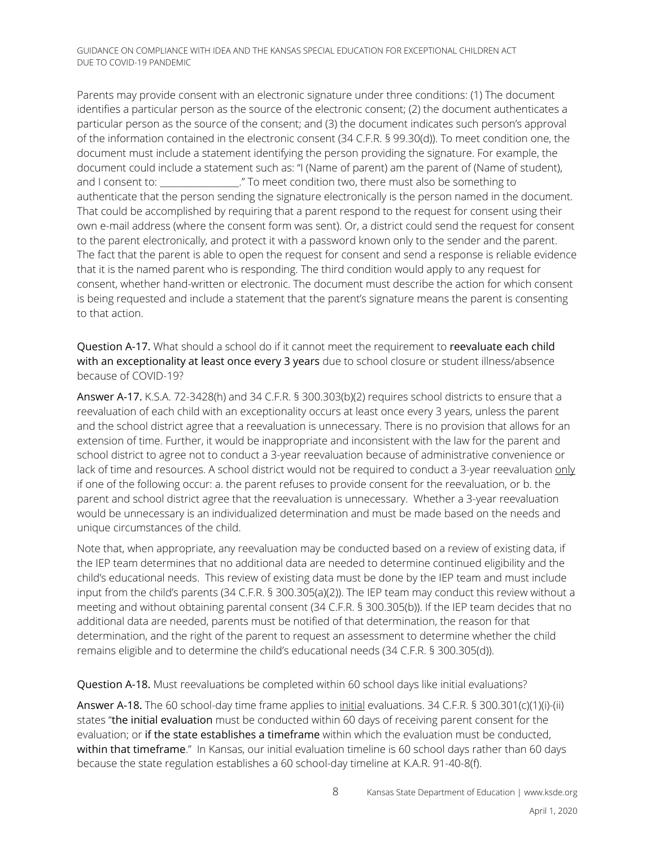Parents may provide consent with an electronic signature under three conditions: (1) The document identifies a particular person as the source of the electronic consent; (2) the document authenticates a particular person as the source of the consent; and (3) the document indicates such person's approval of the information contained in the electronic consent (34 C.F.R. § 99.30(d)). To meet condition one, the document must include a statement identifying the person providing the signature. For example, the document could include a statement such as: "I (Name of parent) am the parent of (Name of student), and I consent to: \_\_\_\_\_\_\_\_\_\_\_\_\_\_\_\_." To meet condition two, there must also be something to authenticate that the person sending the signature electronically is the person named in the document. That could be accomplished by requiring that a parent respond to the request for consent using their own e-mail address (where the consent form was sent). Or, a district could send the request for consent to the parent electronically, and protect it with a password known only to the sender and the parent. The fact that the parent is able to open the request for consent and send a response is reliable evidence that it is the named parent who is responding. The third condition would apply to any request for consent, whether hand-written or electronic. The document must describe the action for which consent is being requested and include a statement that the parent's signature means the parent is consenting to that action.

Question A-17. What should a school do if it cannot meet the requirement to reevaluate each child with an exceptionality at least once every 3 years due to school closure or student illness/absence because of COVID-19?

Answer A-17. K.S.A. 72-3428(h) and 34 C.F.R. § 300.303(b)(2) requires school districts to ensure that a reevaluation of each child with an exceptionality occurs at least once every 3 years, unless the parent and the school district agree that a reevaluation is unnecessary. There is no provision that allows for an extension of time. Further, it would be inappropriate and inconsistent with the law for the parent and school district to agree not to conduct a 3-year reevaluation because of administrative convenience or lack of time and resources. A school district would not be required to conduct a 3-year reevaluation only if one of the following occur: a. the parent refuses to provide consent for the reevaluation, or b. the parent and school district agree that the reevaluation is unnecessary. Whether a 3-year reevaluation would be unnecessary is an individualized determination and must be made based on the needs and unique circumstances of the child.

Note that, when appropriate, any reevaluation may be conducted based on a review of existing data, if the IEP team determines that no additional data are needed to determine continued eligibility and the child's educational needs. This review of existing data must be done by the IEP team and must include input from the child's parents (34 C.F.R. § 300.305(a)(2)). The IEP team may conduct this review without a meeting and without obtaining parental consent (34 C.F.R. § 300.305(b)). If the IEP team decides that no additional data are needed, parents must be notified of that determination, the reason for that determination, and the right of the parent to request an assessment to determine whether the child remains eligible and to determine the child's educational needs (34 C.F.R. § 300.305(d)).

Question A-18. Must reevaluations be completed within 60 school days like initial evaluations?

Answer A-18. The 60 school-day time frame applies to *initial* evaluations. 34 C.F.R. § 300.301(c)(1)(i)-(ii) states "the initial evaluation must be conducted within 60 days of receiving parent consent for the evaluation; or if the state establishes a timeframe within which the evaluation must be conducted, within that timeframe." In Kansas, our initial evaluation timeline is 60 school days rather than 60 days because the state regulation establishes a 60 school-day timeline at K.A.R. 91-40-8(f).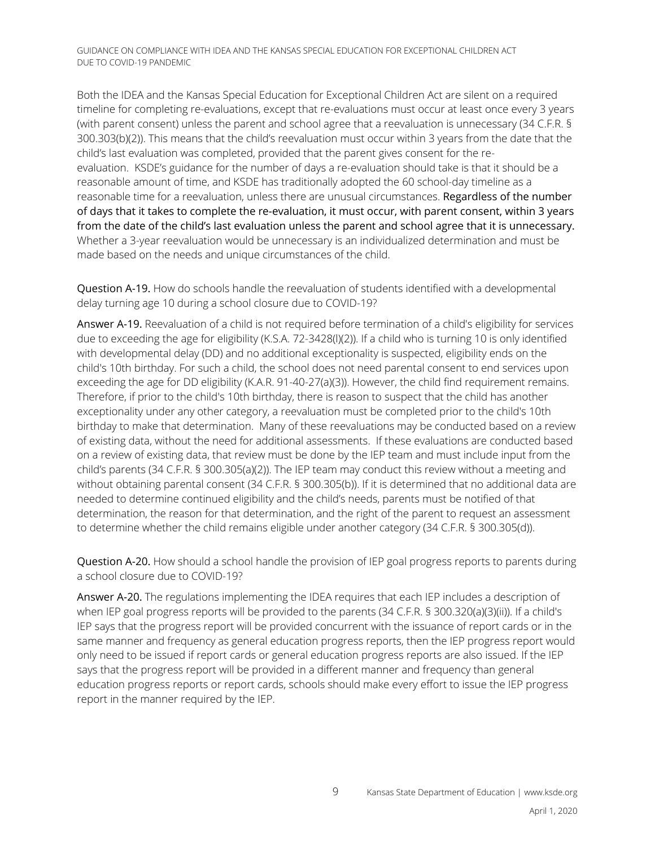Both the IDEA and the Kansas Special Education for Exceptional Children Act are silent on a required timeline for completing re-evaluations, except that re-evaluations must occur at least once every 3 years (with parent consent) unless the parent and school agree that a reevaluation is unnecessary (34 C.F.R. § 300.303(b)(2)). This means that the child's reevaluation must occur within 3 years from the date that the child's last evaluation was completed, provided that the parent gives consent for the reevaluation. KSDE's guidance for the number of days a re-evaluation should take is that it should be a reasonable amount of time, and KSDE has traditionally adopted the 60 school-day timeline as a reasonable time for a reevaluation, unless there are unusual circumstances. Regardless of the number of days that it takes to complete the re-evaluation, it must occur, with parent consent, within 3 years from the date of the child's last evaluation unless the parent and school agree that it is unnecessary. Whether a 3-year reevaluation would be unnecessary is an individualized determination and must be made based on the needs and unique circumstances of the child.

Question A-19. How do schools handle the reevaluation of students identified with a developmental delay turning age 10 during a school closure due to COVID-19?

Answer A-19. Reevaluation of a child is not required before termination of a child's eligibility for services due to exceeding the age for eligibility (K.S.A. 72-3428(l)(2)). If a child who is turning 10 is only identified with developmental delay (DD) and no additional exceptionality is suspected, eligibility ends on the child's 10th birthday. For such a child, the school does not need parental consent to end services upon exceeding the age for DD eligibility (K.A.R. 91-40-27(a)(3)). However, the child find requirement remains. Therefore, if prior to the child's 10th birthday, there is reason to suspect that the child has another exceptionality under any other category, a reevaluation must be completed prior to the child's 10th birthday to make that determination. Many of these reevaluations may be conducted based on a review of existing data, without the need for additional assessments. If these evaluations are conducted based on a review of existing data, that review must be done by the IEP team and must include input from the child's parents (34 C.F.R. § 300.305(a)(2)). The IEP team may conduct this review without a meeting and without obtaining parental consent (34 C.F.R. § 300.305(b)). If it is determined that no additional data are needed to determine continued eligibility and the child's needs, parents must be notified of that determination, the reason for that determination, and the right of the parent to request an assessment to determine whether the child remains eligible under another category (34 C.F.R. § 300.305(d)).

Question A-20. How should a school handle the provision of IEP goal progress reports to parents during a school closure due to COVID-19?

Answer A-20. The regulations implementing the IDEA requires that each IEP includes a description of when IEP goal progress reports will be provided to the parents (34 C.F.R. § 300.320(a)(3)(ii)). If a child's IEP says that the progress report will be provided concurrent with the issuance of report cards or in the same manner and frequency as general education progress reports, then the IEP progress report would only need to be issued if report cards or general education progress reports are also issued. If the IEP says that the progress report will be provided in a different manner and frequency than general education progress reports or report cards, schools should make every effort to issue the IEP progress report in the manner required by the IEP.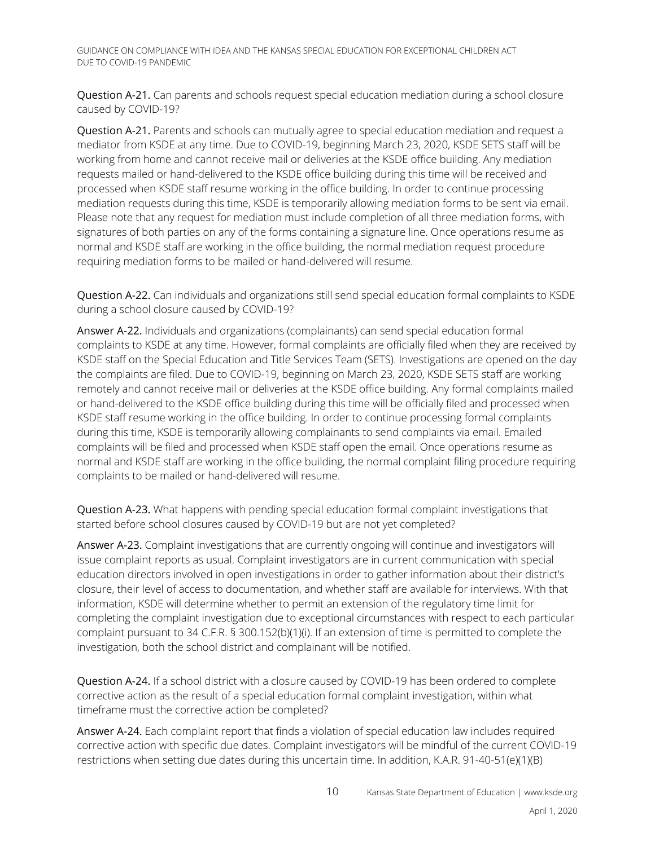Question A-21. Can parents and schools request special education mediation during a school closure caused by COVID-19?

Question A-21. Parents and schools can mutually agree to special education mediation and request a mediator from KSDE at any time. Due to COVID-19, beginning March 23, 2020, KSDE SETS staff will be working from home and cannot receive mail or deliveries at the KSDE office building. Any mediation requests mailed or hand-delivered to the KSDE office building during this time will be received and processed when KSDE staff resume working in the office building. In order to continue processing mediation requests during this time, KSDE is temporarily allowing mediation forms to be sent via email. Please note that any request for mediation must include completion of all three mediation forms, with signatures of both parties on any of the forms containing a signature line. Once operations resume as normal and KSDE staff are working in the office building, the normal mediation request procedure requiring mediation forms to be mailed or hand-delivered will resume.

Question A-22. Can individuals and organizations still send special education formal complaints to KSDE during a school closure caused by COVID-19?

Answer A-22. Individuals and organizations (complainants) can send special education formal complaints to KSDE at any time. However, formal complaints are officially filed when they are received by KSDE staff on the Special Education and Title Services Team (SETS). Investigations are opened on the day the complaints are filed. Due to COVID-19, beginning on March 23, 2020, KSDE SETS staff are working remotely and cannot receive mail or deliveries at the KSDE office building. Any formal complaints mailed or hand-delivered to the KSDE office building during this time will be officially filed and processed when KSDE staff resume working in the office building. In order to continue processing formal complaints during this time, KSDE is temporarily allowing complainants to send complaints via email. Emailed complaints will be filed and processed when KSDE staff open the email. Once operations resume as normal and KSDE staff are working in the office building, the normal complaint filing procedure requiring complaints to be mailed or hand-delivered will resume.

Question A-23. What happens with pending special education formal complaint investigations that started before school closures caused by COVID-19 but are not yet completed?

Answer A-23. Complaint investigations that are currently ongoing will continue and investigators will issue complaint reports as usual. Complaint investigators are in current communication with special education directors involved in open investigations in order to gather information about their district's closure, their level of access to documentation, and whether staff are available for interviews. With that information, KSDE will determine whether to permit an extension of the regulatory time limit for completing the complaint investigation due to exceptional circumstances with respect to each particular complaint pursuant to 34 C.F.R. § 300.152(b)(1)(i). If an extension of time is permitted to complete the investigation, both the school district and complainant will be notified.

Question A-24. If a school district with a closure caused by COVID-19 has been ordered to complete corrective action as the result of a special education formal complaint investigation, within what timeframe must the corrective action be completed?

Answer A-24. Each complaint report that finds a violation of special education law includes required corrective action with specific due dates. Complaint investigators will be mindful of the current COVID-19 restrictions when setting due dates during this uncertain time. In addition, K.A.R. 91-40-51(e)(1)(B)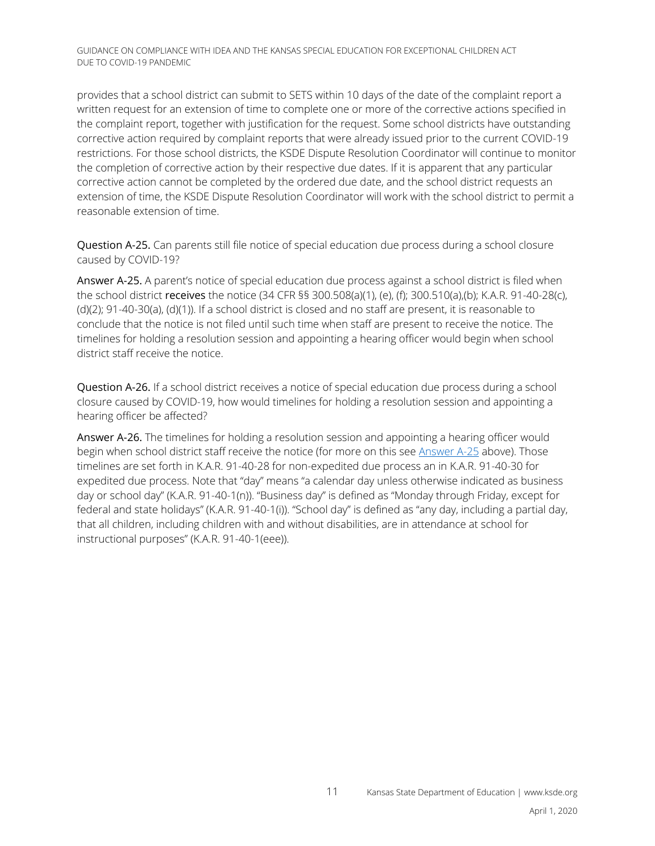provides that a school district can submit to SETS within 10 days of the date of the complaint report a written request for an extension of time to complete one or more of the corrective actions specified in the complaint report, together with justification for the request. Some school districts have outstanding corrective action required by complaint reports that were already issued prior to the current COVID-19 restrictions. For those school districts, the KSDE Dispute Resolution Coordinator will continue to monitor the completion of corrective action by their respective due dates. If it is apparent that any particular corrective action cannot be completed by the ordered due date, and the school district requests an extension of time, the KSDE Dispute Resolution Coordinator will work with the school district to permit a reasonable extension of time.

<span id="page-10-0"></span>Question A-25. Can parents still file notice of special education due process during a school closure caused by COVID-19?

Answer A-25. A parent's notice of special education due process against a school district is filed when the school district receives the notice (34 CFR §§ 300.508(a)(1), (e), (f); 300.510(a),(b); K.A.R. 91-40-28(c), (d)(2); 91-40-30(a), (d)(1)). If a school district is closed and no staff are present, it is reasonable to conclude that the notice is not filed until such time when staff are present to receive the notice. The timelines for holding a resolution session and appointing a hearing officer would begin when school district staff receive the notice.

Question A-26. If a school district receives a notice of special education due process during a school closure caused by COVID-19, how would timelines for holding a resolution session and appointing a hearing officer be affected?

Answer A-26. The timelines for holding a resolution session and appointing a hearing officer would begin when school district staff receive the notice (for more on this see [Answer A-25](#page-10-0) above). Those timelines are set forth in K.A.R. 91-40-28 for non-expedited due process an in K.A.R. 91-40-30 for expedited due process. Note that "day" means "a calendar day unless otherwise indicated as business day or school day" (K.A.R. 91-40-1(n)). "Business day" is defined as "Monday through Friday, except for federal and state holidays" (K.A.R. 91-40-1(i)). "School day" is defined as "any day, including a partial day, that all children, including children with and without disabilities, are in attendance at school for instructional purposes" (K.A.R. 91-40-1(eee)).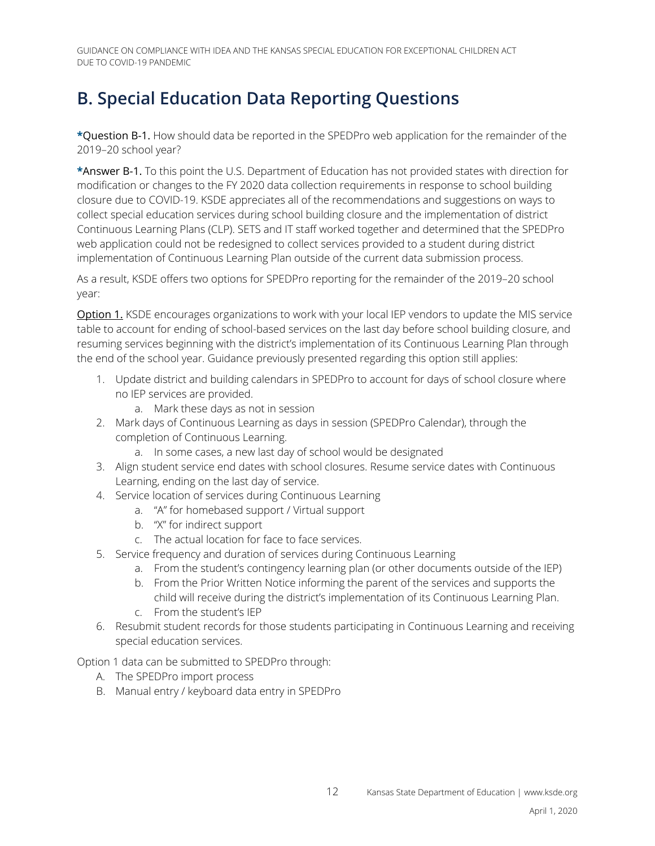#### <span id="page-11-0"></span>**B. Special Education Data Reporting Questions**

**\***Question B-1. How should data be reported in the SPEDPro web application for the remainder of the 2019–20 school year?

**\***Answer B-1. To this point the U.S. Department of Education has not provided states with direction for modification or changes to the FY 2020 data collection requirements in response to school building closure due to COVID-19. KSDE appreciates all of the recommendations and suggestions on ways to collect special education services during school building closure and the implementation of district Continuous Learning Plans (CLP). SETS and IT staff worked together and determined that the SPEDPro web application could not be redesigned to collect services provided to a student during district implementation of Continuous Learning Plan outside of the current data submission process.

As a result, KSDE offers two options for SPEDPro reporting for the remainder of the 2019–20 school year:

**Option 1.** KSDE encourages organizations to work with your local IEP vendors to update the MIS service table to account for ending of school-based services on the last day before school building closure, and resuming services beginning with the district's implementation of its Continuous Learning Plan through the end of the school year. Guidance previously presented regarding this option still applies:

- 1. Update district and building calendars in SPEDPro to account for days of school closure where no IEP services are provided.
	- a. Mark these days as not in session
- 2. Mark days of Continuous Learning as days in session (SPEDPro Calendar), through the completion of Continuous Learning.
	- a. In some cases, a new last day of school would be designated
- 3. Align student service end dates with school closures. Resume service dates with Continuous Learning, ending on the last day of service.
- 4. Service location of services during Continuous Learning
	- a. "A" for homebased support / Virtual support
	- b. "X" for indirect support
	- c. The actual location for face to face services.
- 5. Service frequency and duration of services during Continuous Learning
	- a. From the student's contingency learning plan (or other documents outside of the IEP)
	- b. From the Prior Written Notice informing the parent of the services and supports the child will receive during the district's implementation of its Continuous Learning Plan.
	- c. From the student's IEP
- 6. Resubmit student records for those students participating in Continuous Learning and receiving special education services.

Option 1 data can be submitted to SPEDPro through:

- A. The SPEDPro import process
- B. Manual entry / keyboard data entry in SPEDPro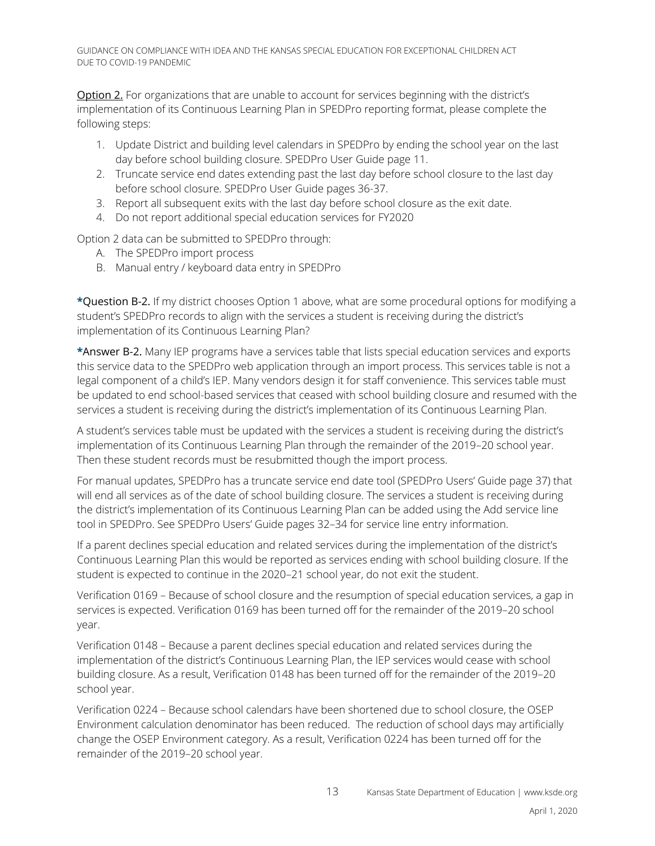Option 2. For organizations that are unable to account for services beginning with the district's implementation of its Continuous Learning Plan in SPEDPro reporting format, please complete the following steps:

- 1. Update District and building level calendars in SPEDPro by ending the school year on the last day before school building closure. SPEDPro User Guide page 11.
- 2. Truncate service end dates extending past the last day before school closure to the last day before school closure. SPEDPro User Guide pages 36-37.
- 3. Report all subsequent exits with the last day before school closure as the exit date.
- 4. Do not report additional special education services for FY2020

Option 2 data can be submitted to SPEDPro through:

- A. The SPEDPro import process
- B. Manual entry / keyboard data entry in SPEDPro

**\***Question B-2. If my district chooses Option 1 above, what are some procedural options for modifying a student's SPEDPro records to align with the services a student is receiving during the district's implementation of its Continuous Learning Plan?

**\***Answer B-2. Many IEP programs have a services table that lists special education services and exports this service data to the SPEDPro web application through an import process. This services table is not a legal component of a child's IEP. Many vendors design it for staff convenience. This services table must be updated to end school-based services that ceased with school building closure and resumed with the services a student is receiving during the district's implementation of its Continuous Learning Plan.

A student's services table must be updated with the services a student is receiving during the district's implementation of its Continuous Learning Plan through the remainder of the 2019–20 school year. Then these student records must be resubmitted though the import process.

For manual updates, SPEDPro has a truncate service end date tool (SPEDPro Users' Guide page 37) that will end all services as of the date of school building closure. The services a student is receiving during the district's implementation of its Continuous Learning Plan can be added using the Add service line tool in SPEDPro. See SPEDPro Users' Guide pages 32–34 for service line entry information.

If a parent declines special education and related services during the implementation of the district's Continuous Learning Plan this would be reported as services ending with school building closure. If the student is expected to continue in the 2020–21 school year, do not exit the student.

Verification 0169 – Because of school closure and the resumption of special education services, a gap in services is expected. Verification 0169 has been turned off for the remainder of the 2019–20 school year.

Verification 0148 – Because a parent declines special education and related services during the implementation of the district's Continuous Learning Plan, the IEP services would cease with school building closure. As a result, Verification 0148 has been turned off for the remainder of the 2019–20 school year.

Verification 0224 – Because school calendars have been shortened due to school closure, the OSEP Environment calculation denominator has been reduced. The reduction of school days may artificially change the OSEP Environment category. As a result, Verification 0224 has been turned off for the remainder of the 2019–20 school year.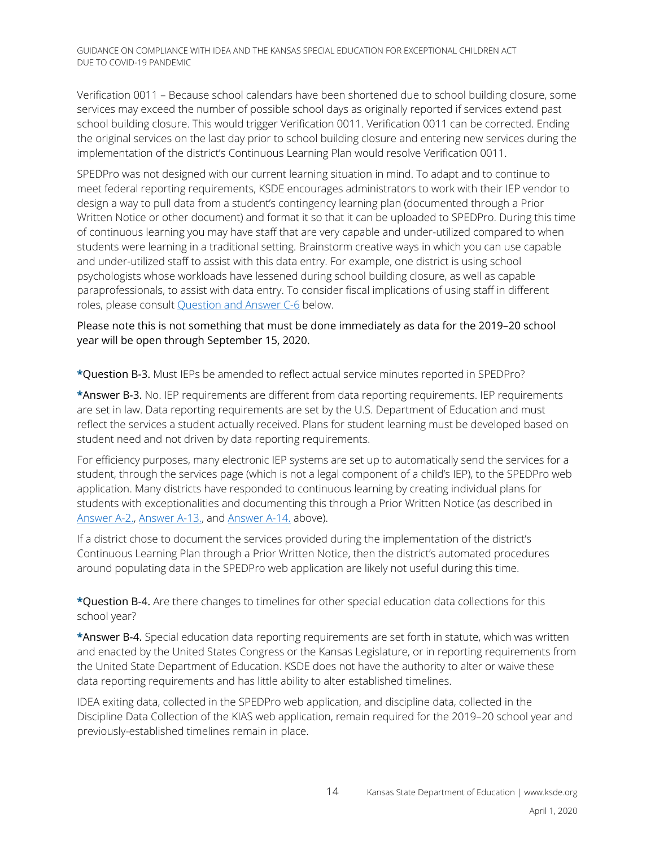Verification 0011 – Because school calendars have been shortened due to school building closure, some services may exceed the number of possible school days as originally reported if services extend past school building closure. This would trigger Verification 0011. Verification 0011 can be corrected. Ending the original services on the last day prior to school building closure and entering new services during the implementation of the district's Continuous Learning Plan would resolve Verification 0011.

SPEDPro was not designed with our current learning situation in mind. To adapt and to continue to meet federal reporting requirements, KSDE encourages administrators to work with their IEP vendor to design a way to pull data from a student's contingency learning plan (documented through a Prior Written Notice or other document) and format it so that it can be uploaded to SPEDPro. During this time of continuous learning you may have staff that are very capable and under-utilized compared to when students were learning in a traditional setting. Brainstorm creative ways in which you can use capable and under-utilized staff to assist with this data entry. For example, one district is using school psychologists whose workloads have lessened during school building closure, as well as capable paraprofessionals, to assist with data entry. To consider fiscal implications of using staff in different roles, please consult [Question and Answer C-6](#page-15-0) below.

#### Please note this is not something that must be done immediately as data for the 2019–20 school year will be open through September 15, 2020.

**\***Question B-3. Must IEPs be amended to reflect actual service minutes reported in SPEDPro?

**\***Answer B-3. No. IEP requirements are different from data reporting requirements. IEP requirements are set in law. Data reporting requirements are set by the U.S. Department of Education and must reflect the services a student actually received. Plans for student learning must be developed based on student need and not driven by data reporting requirements.

For efficiency purposes, many electronic IEP systems are set up to automatically send the services for a student, through the services page (which is not a legal component of a child's IEP), to the SPEDPro web application. Many districts have responded to continuous learning by creating individual plans for students with exceptionalities and documenting this through a Prior Written Notice (as described in [Answer A-2.,](#page-1-1) [Answer A-13.,](#page-5-0) and [Answer A-14.](#page-6-0) above).

If a district chose to document the services provided during the implementation of the district's Continuous Learning Plan through a Prior Written Notice, then the district's automated procedures around populating data in the SPEDPro web application are likely not useful during this time.

**\***Question B-4. Are there changes to timelines for other special education data collections for this school year?

**\***Answer B-4. Special education data reporting requirements are set forth in statute, which was written and enacted by the United States Congress or the Kansas Legislature, or in reporting requirements from the United State Department of Education. KSDE does not have the authority to alter or waive these data reporting requirements and has little ability to alter established timelines.

IDEA exiting data, collected in the SPEDPro web application, and discipline data, collected in the Discipline Data Collection of the KIAS web application, remain required for the 2019–20 school year and previously-established timelines remain in place.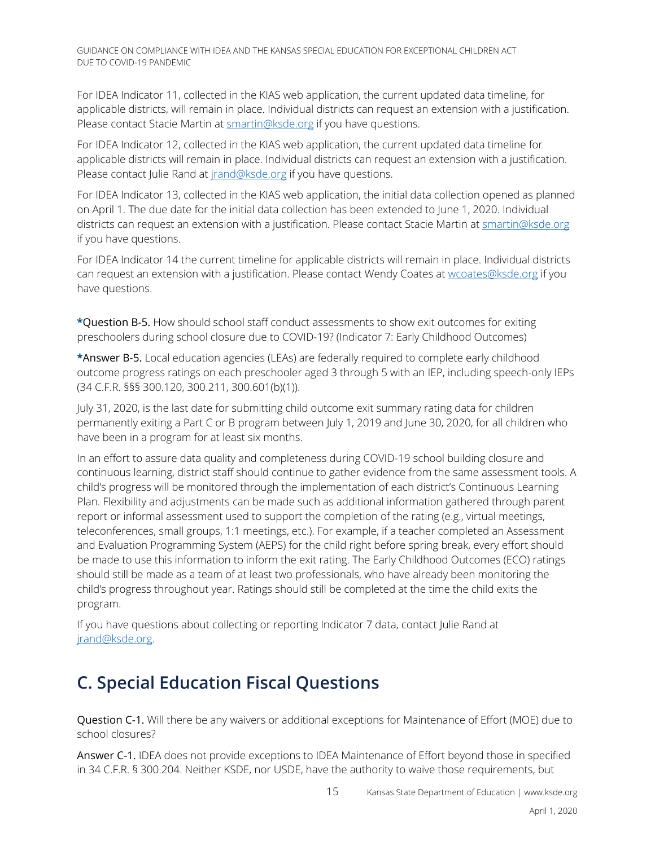For IDEA Indicator 11, collected in the KIAS web application, the current updated data timeline, for applicable districts, will remain in place. Individual districts can request an extension with a justification. Please contact Stacie Martin at [smartin@ksde.org](mailto:smartin@ksde.org) if you have questions.

For IDEA Indicator 12, collected in the KIAS web application, the current updated data timeline for applicable districts will remain in place. Individual districts can request an extension with a justification. Please contact Julie Rand at *[jrand@ksde.org](mailto:jrand@ksde.org)* if you have questions.

For IDEA Indicator 13, collected in the KIAS web application, the initial data collection opened as planned on April 1. The due date for the initial data collection has been extended to June 1, 2020. Individual districts can request an extension with a justification. Please contact Stacie Martin at [smartin@ksde.org](mailto:smartin@ksde.org) if you have questions.

For IDEA Indicator 14 the current timeline for applicable districts will remain in place. Individual districts can request an extension with a justification. Please contact Wendy Coates at [wcoates@ksde.org](mailto:wcoates@ksde.org) if you have questions.

**\***Question B-5. How should school staff conduct assessments to show exit outcomes for exiting preschoolers during school closure due to COVID-19? (Indicator 7: Early Childhood Outcomes)

**\***Answer B-5. Local education agencies (LEAs) are federally required to complete early childhood outcome progress ratings on each preschooler aged 3 through 5 with an IEP, including speech-only IEPs (34 C.F.R. §§§ 300.120, 300.211, 300.601(b)(1)).

July 31, 2020, is the last date for submitting child outcome exit summary rating data for children permanently exiting a Part C or B program between July 1, 2019 and June 30, 2020, for all children who have been in a program for at least six months.

In an effort to assure data quality and completeness during COVID-19 school building closure and continuous learning, district staff should continue to gather evidence from the same assessment tools. A child's progress will be monitored through the implementation of each district's Continuous Learning Plan. Flexibility and adjustments can be made such as additional information gathered through parent report or informal assessment used to support the completion of the rating (e.g., virtual meetings, teleconferences, small groups, 1:1 meetings, etc.). For example, if a teacher completed an Assessment and Evaluation Programming System (AEPS) for the child right before spring break, every effort should be made to use this information to inform the exit rating. The Early Childhood Outcomes (ECO) ratings should still be made as a team of at least two professionals, who have already been monitoring the child's progress throughout year. Ratings should still be completed at the time the child exits the program.

If you have questions about collecting or reporting Indicator 7 data, contact Julie Rand at [jrand@ksde.org.](mailto:jrand@ksde.org)

## **C. Special Education Fiscal Questions**

Question C-1. Will there be any waivers or additional exceptions for Maintenance of Effort (MOE) due to school closures?

Answer C-1. IDEA does not provide exceptions to IDEA Maintenance of Effort beyond those in specified in 34 C.F.R. § 300.204. Neither KSDE, nor USDE, have the authority to waive those requirements, but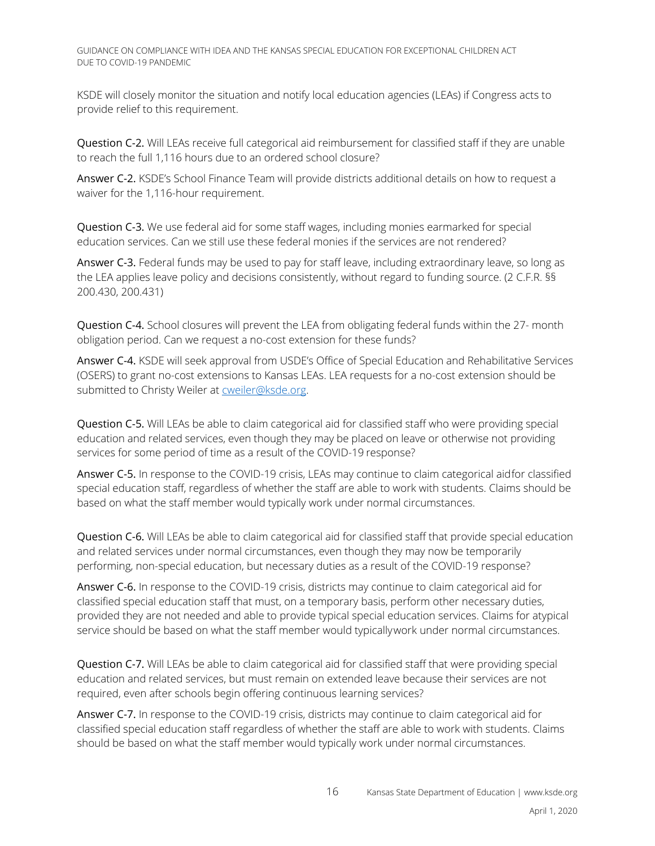KSDE will closely monitor the situation and notify local education agencies (LEAs) if Congress acts to provide relief to this requirement.

Question C-2. Will LEAs receive full categorical aid reimbursement for classified staff if they are unable to reach the full 1,116 hours due to an ordered school closure?

Answer C-2. KSDE's School Finance Team will provide districts additional details on how to request a waiver for the 1,116-hour requirement.

Question C-3. We use federal aid for some staff wages, including monies earmarked for special education services. Can we still use these federal monies if the services are not rendered?

Answer C-3. Federal funds may be used to pay for staff leave, including extraordinary leave, so long as the LEA applies leave policy and decisions consistently, without regard to funding source. (2 C.F.R. §§ 200.430, 200.431)

Question C-4. School closures will prevent the LEA from obligating federal funds within the 27- month obligation period. Can we request a no-cost extension for these funds?

Answer C-4. KSDE will seek approval from USDE's Office of Special Education and Rehabilitative Services (OSERS) to grant no-cost extensions to Kansas LEAs. LEA requests for a no-cost extension should be submitted to Christy Weiler at [cweiler@ksde.org.](mailto:cweiler@ksde.org)

Question C-5. Will LEAs be able to claim categorical aid for classified staff who were providing special education and related services, even though they may be placed on leave or otherwise not providing services for some period of time as a result of the COVID-19 response?

Answer C-5. In response to the COVID-19 crisis, LEAs may continue to claim categorical aidfor classified special education staff, regardless of whether the staff are able to work with students. Claims should be based on what the staff member would typically work under normal circumstances.

<span id="page-15-0"></span>Question C-6. Will LEAs be able to claim categorical aid for classified staff that provide special education and related services under normal circumstances, even though they may now be temporarily performing, non-special education, but necessary duties as a result of the COVID-19 response?

Answer C-6. In response to the COVID-19 crisis, districts may continue to claim categorical aid for classified special education staff that must, on a temporary basis, perform other necessary duties, provided they are not needed and able to provide typical special education services. Claims for atypical service should be based on what the staff member would typicallywork under normal circumstances.

Question C-7. Will LEAs be able to claim categorical aid for classified staff that were providing special education and related services, but must remain on extended leave because their services are not required, even after schools begin offering continuous learning services?

Answer C-7. In response to the COVID-19 crisis, districts may continue to claim categorical aid for classified special education staff regardless of whether the staff are able to work with students. Claims should be based on what the staff member would typically work under normal circumstances.